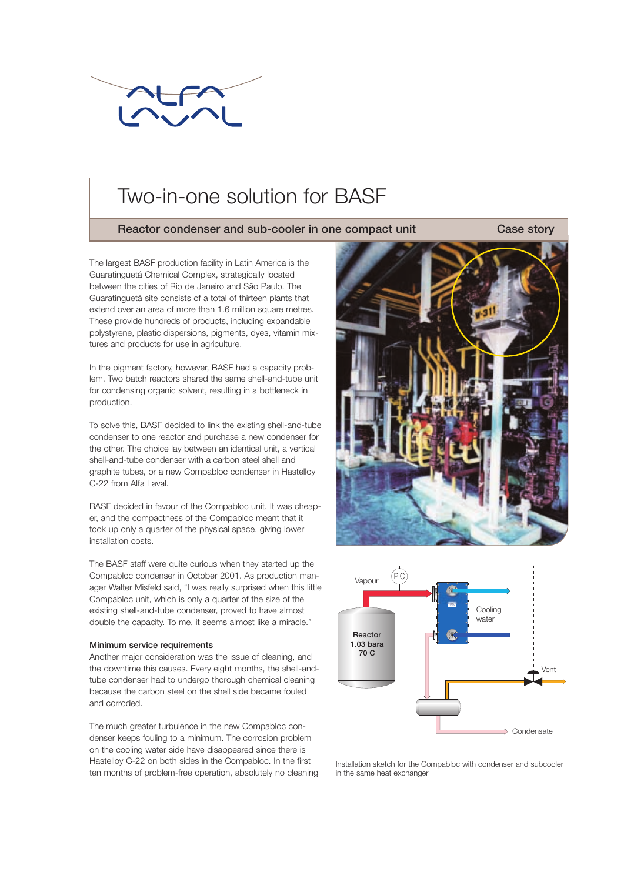

# Two-in-one solution for BASF

# Reactor condenser and sub-cooler in one compact unit

Case story

The largest BASF production facility in Latin America is the Guaratinguetá Chemical Complex, strategically located between the cities of Rio de Janeiro and São Paulo. The Guaratinguetá site consists of a total of thirteen plants that extend over an area of more than 1.6 million square metres. These provide hundreds of products, including expandable polystyrene, plastic dispersions, pigments, dyes, vitamin mixtures and products for use in agriculture.

In the pigment factory, however, BASF had a capacity problem. Two batch reactors shared the same shell-and-tube unit for condensing organic solvent, resulting in a bottleneck in production.

To solve this, BASF decided to link the existing shell-and-tube condenser to one reactor and purchase a new condenser for the other. The choice lay between an identical unit, a vertical shell-and-tube condenser with a carbon steel shell and graphite tubes, or a new Compabloc condenser in Hastelloy C-22 from Alfa Laval.

BASF decided in favour of the Compabloc unit. It was cheaper, and the compactness of the Compabloc meant that it took up only a quarter of the physical space, giving lower installation costs.

The BASF staff were quite curious when they started up the Compabloc condenser in October 2001. As production manager Walter Misfeld said, "I was really surprised when this little Compabloc unit, which is only a quarter of the size of the existing shell-and-tube condenser, proved to have almost double the capacity. To me, it seems almost like a miracle."

## Minimum service requirements

Another major consideration was the issue of cleaning, and the downtime this causes. Every eight months, the shell-andtube condenser had to undergo thorough chemical cleaning because the carbon steel on the shell side became fouled and corroded.

The much greater turbulence in the new Compabloc condenser keeps fouling to a minimum. The corrosion problem on the cooling water side have disappeared since there is Hastelloy C-22 on both sides in the Compabloc. In the first ten months of problem-free operation, absolutely no cleaning





Installation sketch for the Compabloc with condenser and subcooler in the same heat exchanger